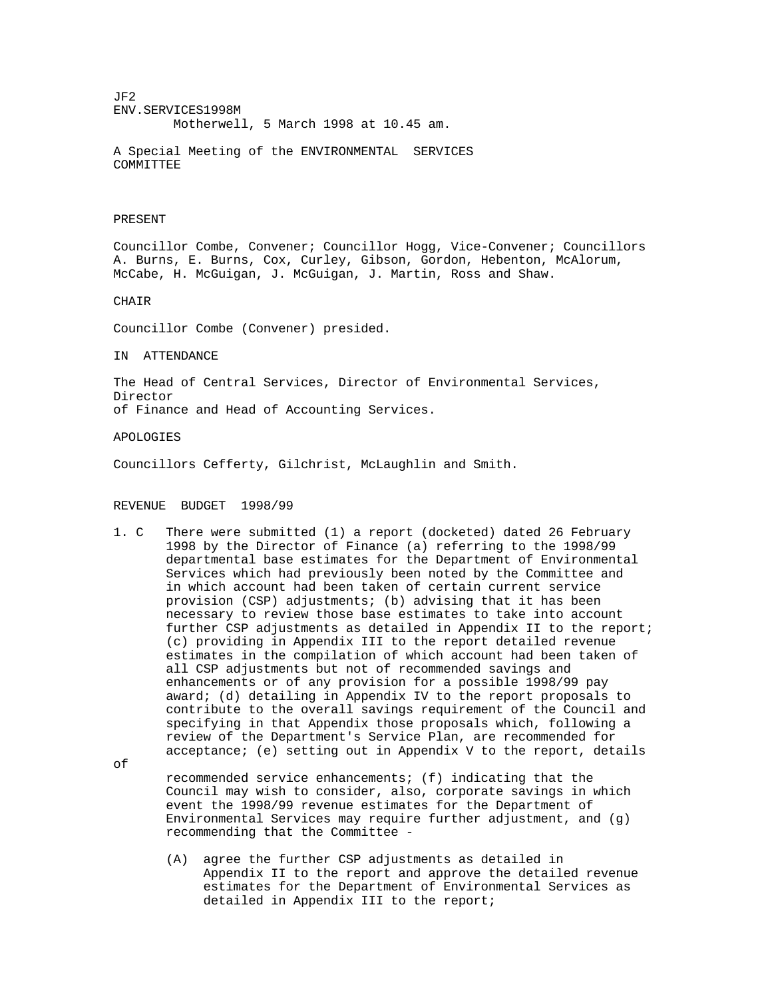JF2 ENV.SERVICES1998M Motherwell, 5 March 1998 at 10.45 am.

A Special Meeting of the ENVIRONMENTAL SERVICES COMMITTEE

## PRESENT

Councillor Combe, Convener; Councillor Hogg, Vice-Convener; Councillors A. Burns, E. Burns, Cox, Curley, Gibson, Gordon, Hebenton, McAlorum, McCabe, H. McGuigan, J. McGuigan, J. Martin, Ross and Shaw.

CHAIR

Councillor Combe (Convener) presided.

IN ATTENDANCE

The Head of Central Services, Director of Environmental Services, Director of Finance and Head of Accounting Services.

APOLOGIES

Councillors Cefferty, Gilchrist, McLaughlin and Smith.

## REVENUE BUDGET 1998/99

1. C There were submitted (1) a report (docketed) dated 26 February 1998 by the Director of Finance (a) referring to the 1998/99 departmental base estimates for the Department of Environmental Services which had previously been noted by the Committee and in which account had been taken of certain current service provision (CSP) adjustments; (b) advising that it has been necessary to review those base estimates to take into account further CSP adjustments as detailed in Appendix II to the report; (c) providing in Appendix III to the report detailed revenue estimates in the compilation of which account had been taken of all CSP adjustments but not of recommended savings and enhancements or of any provision for a possible 1998/99 pay award; (d) detailing in Appendix IV to the report proposals to contribute to the overall savings requirement of the Council and specifying in that Appendix those proposals which, following a review of the Department's Service Plan, are recommended for acceptance; (e) setting out in Appendix V to the report, details

of

 recommended service enhancements; (f) indicating that the Council may wish to consider, also, corporate savings in which event the 1998/99 revenue estimates for the Department of Environmental Services may require further adjustment, and (g) recommending that the Committee -

 (A) agree the further CSP adjustments as detailed in Appendix II to the report and approve the detailed revenue estimates for the Department of Environmental Services as detailed in Appendix III to the report;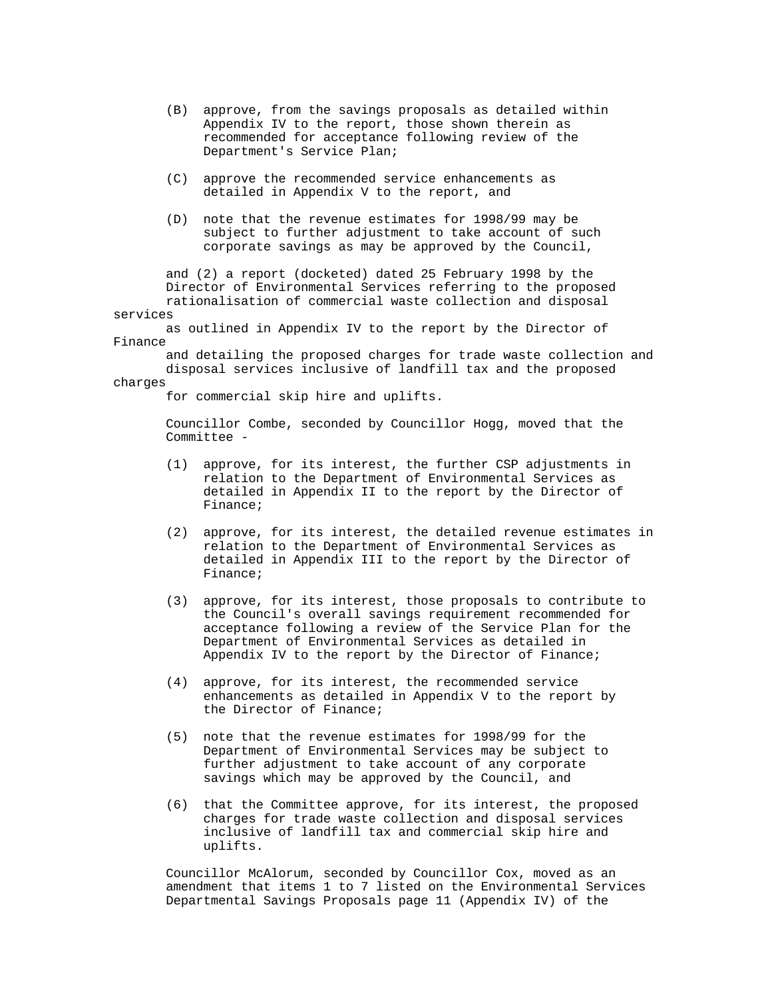- (B) approve, from the savings proposals as detailed within Appendix IV to the report, those shown therein as recommended for acceptance following review of the Department's Service Plan;
- (C) approve the recommended service enhancements as detailed in Appendix V to the report, and
- (D) note that the revenue estimates for 1998/99 may be subject to further adjustment to take account of such corporate savings as may be approved by the Council,

 and (2) a report (docketed) dated 25 February 1998 by the Director of Environmental Services referring to the proposed rationalisation of commercial waste collection and disposal services

 as outlined in Appendix IV to the report by the Director of Finance

 and detailing the proposed charges for trade waste collection and disposal services inclusive of landfill tax and the proposed charges

for commercial skip hire and uplifts.

 Councillor Combe, seconded by Councillor Hogg, moved that the Committee -

- (1) approve, for its interest, the further CSP adjustments in relation to the Department of Environmental Services as detailed in Appendix II to the report by the Director of Finance;
- (2) approve, for its interest, the detailed revenue estimates in relation to the Department of Environmental Services as detailed in Appendix III to the report by the Director of Finance;
- (3) approve, for its interest, those proposals to contribute to the Council's overall savings requirement recommended for acceptance following a review of the Service Plan for the Department of Environmental Services as detailed in Appendix IV to the report by the Director of Finance;
- (4) approve, for its interest, the recommended service enhancements as detailed in Appendix V to the report by the Director of Finance;
- (5) note that the revenue estimates for 1998/99 for the Department of Environmental Services may be subject to further adjustment to take account of any corporate savings which may be approved by the Council, and
- (6) that the Committee approve, for its interest, the proposed charges for trade waste collection and disposal services inclusive of landfill tax and commercial skip hire and uplifts.

 Councillor McAlorum, seconded by Councillor Cox, moved as an amendment that items 1 to 7 listed on the Environmental Services Departmental Savings Proposals page 11 (Appendix IV) of the